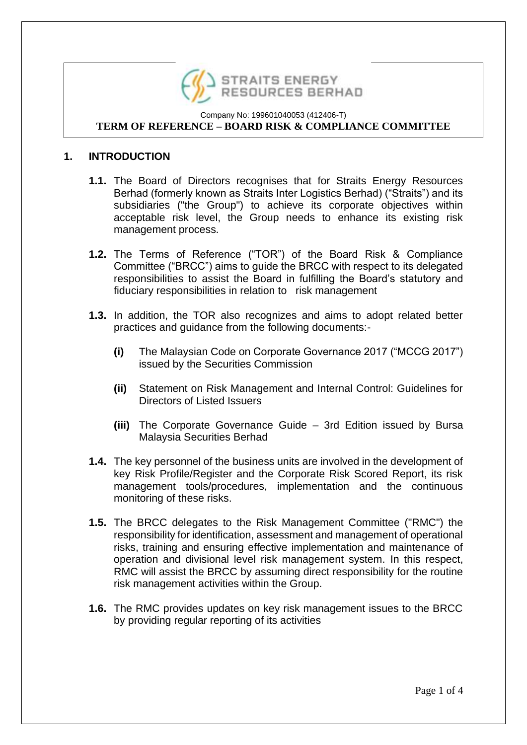

## **1. INTRODUCTION**

- **1.1.** The Board of Directors recognises that for Straits Energy Resources Berhad (formerly known as Straits Inter Logistics Berhad) ("Straits") and its subsidiaries ("the Group") to achieve its corporate objectives within acceptable risk level, the Group needs to enhance its existing risk management process.
- **1.2.** The Terms of Reference ("TOR") of the Board Risk & Compliance Committee ("BRCC") aims to guide the BRCC with respect to its delegated responsibilities to assist the Board in fulfilling the Board's statutory and fiduciary responsibilities in relation to risk management
- **1.3.** In addition, the TOR also recognizes and aims to adopt related better practices and guidance from the following documents:-
	- **(i)** The Malaysian Code on Corporate Governance 2017 ("MCCG 2017") issued by the Securities Commission
	- **(ii)** Statement on Risk Management and Internal Control: Guidelines for Directors of Listed Issuers
	- **(iii)** The Corporate Governance Guide 3rd Edition issued by Bursa Malaysia Securities Berhad
- **1.4.** The key personnel of the business units are involved in the development of key Risk Profile/Register and the Corporate Risk Scored Report, its risk management tools/procedures, implementation and the continuous monitoring of these risks.
- **1.5.** The BRCC delegates to the Risk Management Committee ("RMC") the responsibility for identification, assessment and management of operational risks, training and ensuring effective implementation and maintenance of operation and divisional level risk management system. In this respect, RMC will assist the BRCC by assuming direct responsibility for the routine risk management activities within the Group.
- **1.6.** The RMC provides updates on key risk management issues to the BRCC by providing regular reporting of its activities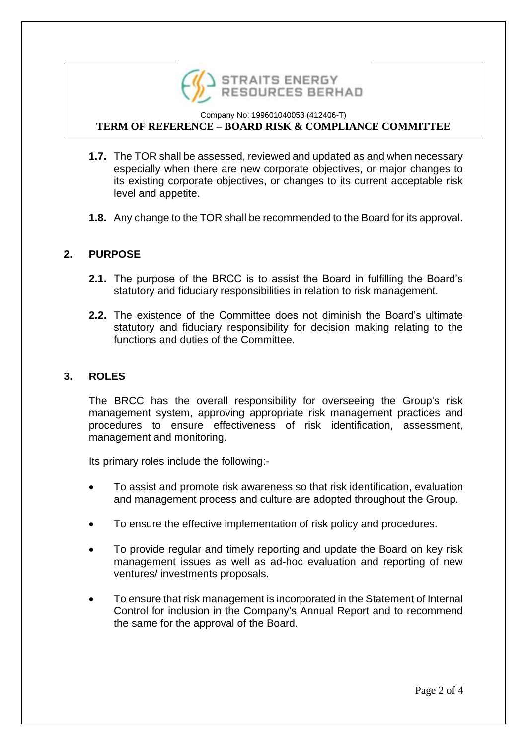

- **1.7.** The TOR shall be assessed, reviewed and updated as and when necessary especially when there are new corporate objectives, or major changes to its existing corporate objectives, or changes to its current acceptable risk level and appetite.
- **1.8.** Any change to the TOR shall be recommended to the Board for its approval.

## **2. PURPOSE**

- **2.1.** The purpose of the BRCC is to assist the Board in fulfilling the Board's statutory and fiduciary responsibilities in relation to risk management.
- **2.2.** The existence of the Committee does not diminish the Board's ultimate statutory and fiduciary responsibility for decision making relating to the functions and duties of the Committee.

### **3. ROLES**

The BRCC has the overall responsibility for overseeing the Group's risk management system, approving appropriate risk management practices and procedures to ensure effectiveness of risk identification, assessment, management and monitoring.

Its primary roles include the following:-

- To assist and promote risk awareness so that risk identification, evaluation and management process and culture are adopted throughout the Group.
- To ensure the effective implementation of risk policy and procedures.
- To provide regular and timely reporting and update the Board on key risk management issues as well as ad-hoc evaluation and reporting of new ventures/ investments proposals.
- To ensure that risk management is incorporated in the Statement of Internal Control for inclusion in the Company's Annual Report and to recommend the same for the approval of the Board.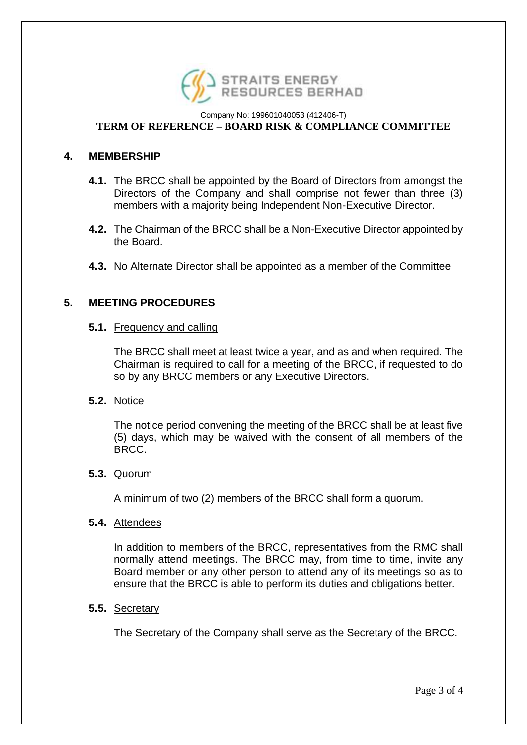

# **4. MEMBERSHIP**

- **4.1.** The BRCC shall be appointed by the Board of Directors from amongst the Directors of the Company and shall comprise not fewer than three (3) members with a majority being Independent Non-Executive Director.
- **4.2.** The Chairman of the BRCC shall be a Non-Executive Director appointed by the Board.
- **4.3.** No Alternate Director shall be appointed as a member of the Committee

# **5. MEETING PROCEDURES**

### **5.1.** Frequency and calling

The BRCC shall meet at least twice a year, and as and when required. The Chairman is required to call for a meeting of the BRCC, if requested to do so by any BRCC members or any Executive Directors.

### **5.2.** Notice

The notice period convening the meeting of the BRCC shall be at least five (5) days, which may be waived with the consent of all members of the BRCC.

### **5.3.** Quorum

A minimum of two (2) members of the BRCC shall form a quorum.

### **5.4.** Attendees

In addition to members of the BRCC, representatives from the RMC shall normally attend meetings. The BRCC may, from time to time, invite any Board member or any other person to attend any of its meetings so as to ensure that the BRCC is able to perform its duties and obligations better.

### **5.5.** Secretary

The Secretary of the Company shall serve as the Secretary of the BRCC.